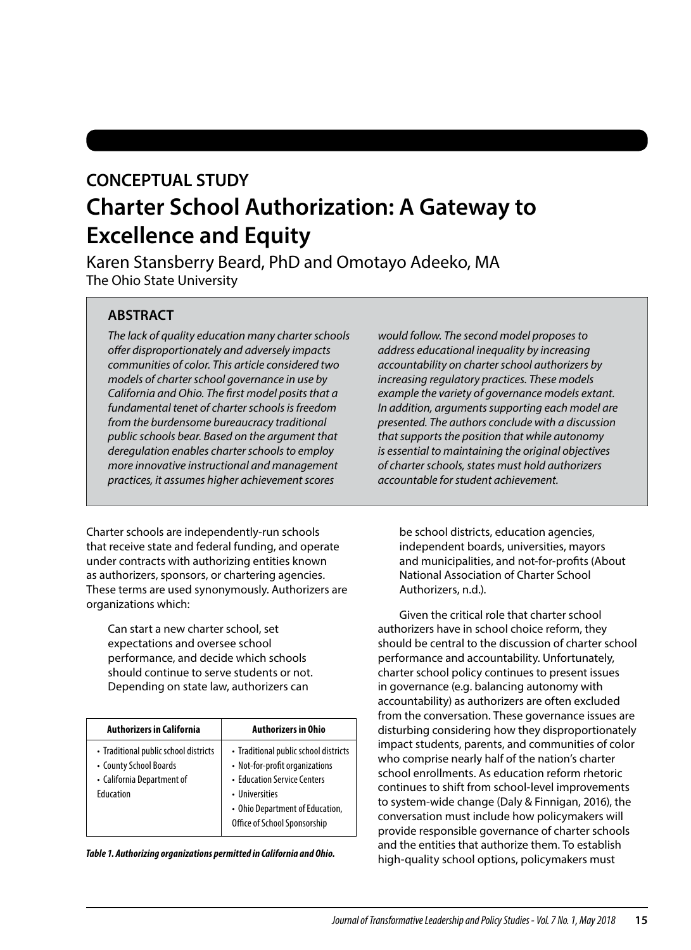# **CONCEPTUAL STUDY Charter School Authorization: A Gateway to Excellence and Equity**

Karen Stansberry Beard, PhD and Omotayo Adeeko, MA The Ohio State University

# **ABSTRACT**

*The lack of quality education many charter schools ofer disproportionately and adversely impacts communities of color. This article considered two models of charter school governance in use by California and Ohio. The frst model posits that a fundamental tenet of charter schools is freedom from the burdensome bureaucracy traditional public schools bear. Based on the argument that deregulation enables charter schools to employ more innovative instructional and management practices, it assumes higher achievement scores* 

Charter schools are independently-run schools that receive state and federal funding, and operate under contracts with authorizing entities known as authorizers, sponsors, or chartering agencies. These terms are used synonymously. Authorizers are organizations which:

Can start a new charter school, set expectations and oversee school performance, and decide which schools should continue to serve students or not. Depending on state law, authorizers can

| <b>Authorizers in California</b>                                                                           | <b>Authorizers in Ohio</b>                                                                                                                                                                  |  |
|------------------------------------------------------------------------------------------------------------|---------------------------------------------------------------------------------------------------------------------------------------------------------------------------------------------|--|
| • Traditional public school districts<br>• County School Boards<br>• California Department of<br>Education | • Traditional public school districts<br>• Not-for-profit organizations<br>• Education Service Centers<br>• Universities<br>• Ohio Department of Education,<br>Office of School Sponsorship |  |

*Table 1. Authorizing organizations permitted in California and Ohio.* 

*would follow. The second model proposes to address educational inequality by increasing accountability on charter school authorizers by increasing regulatory practices. These models example the variety of governance models extant. In addition, arguments supporting each model are presented. The authors conclude with a discussion that supports the position that while autonomy is essential to maintaining the original objectives of charter schools, states must hold authorizers accountable for student achievement.* 

be school districts, education agencies, independent boards, universities, mayors and municipalities, and not-for-profts (About National Association of Charter School Authorizers, n.d.).

Given the critical role that charter school authorizers have in school choice reform, they should be central to the discussion of charter school performance and accountability. Unfortunately, charter school policy continues to present issues in governance (e.g. balancing autonomy with accountability) as authorizers are often excluded from the conversation. These governance issues are disturbing considering how they disproportionately impact students, parents, and communities of color who comprise nearly half of the nation's charter school enrollments. As education reform rhetoric continues to shift from school-level improvements to system-wide change (Daly & Finnigan, 2016), the conversation must include how policymakers will provide responsible governance of charter schools and the entities that authorize them. To establish high-quality school options, policymakers must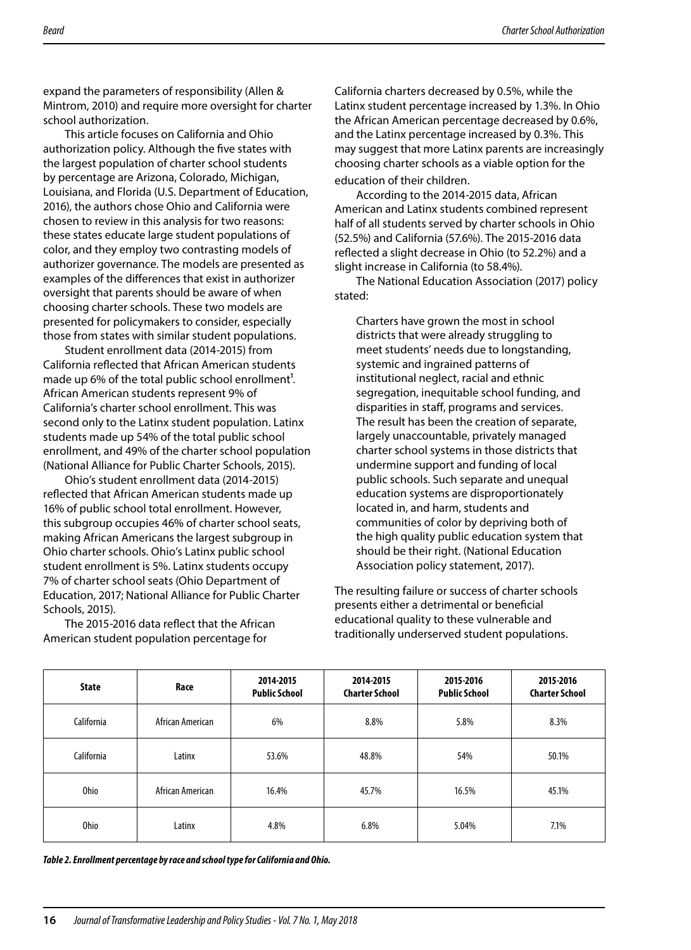expand the parameters of responsibility (Allen & Mintrom, 2010) and require more oversight for charter school authorization.

This article focuses on California and Ohio authorization policy. Although the fve states with the largest population of charter school students by percentage are Arizona, Colorado, Michigan, Louisiana, and Florida (U.S. Department of Education, 2016), the authors chose Ohio and California were chosen to review in this analysis for two reasons: these states educate large student populations of color, and they employ two contrasting models of authorizer governance. The models are presented as examples of the diferences that exist in authorizer oversight that parents should be aware of when choosing charter schools. These two models are presented for policymakers to consider, especially those from states with similar student populations.

Student enrollment data (2014-2015) from California refected that African American students made up 6% of the total public school enrollment<sup>1</sup>. African American students represent 9% of California's charter school enrollment. This was second only to the Latinx student population. Latinx students made up 54% of the total public school enrollment, and 49% of the charter school population (National Alliance for Public Charter Schools, 2015).

Ohio's student enrollment data (2014-2015) refected that African American students made up 16% of public school total enrollment. However, this subgroup occupies 46% of charter school seats, making African Americans the largest subgroup in Ohio charter schools. Ohio's Latinx public school student enrollment is 5%. Latinx students occupy 7% of charter school seats (Ohio Department of Education, 2017; National Alliance for Public Charter Schools, 2015).

The 2015-2016 data refect that the African American student population percentage for

California charters decreased by 0.5%, while the Latinx student percentage increased by 1.3%. In Ohio the African American percentage decreased by 0.6%, and the Latinx percentage increased by 0.3%. This may suggest that more Latinx parents are increasingly choosing charter schools as a viable option for the education of their children.

According to the 2014-2015 data, African American and Latinx students combined represent half of all students served by charter schools in Ohio (52.5%) and California (57.6%). The 2015-2016 data refected a slight decrease in Ohio (to 52.2%) and a slight increase in California (to 58.4%).

The National Education Association (2017) policy stated:

Charters have grown the most in school districts that were already struggling to meet students' needs due to longstanding, systemic and ingrained patterns of institutional neglect, racial and ethnic segregation, inequitable school funding, and disparities in staff, programs and services. The result has been the creation of separate, largely unaccountable, privately managed charter school systems in those districts that undermine support and funding of local public schools. Such separate and unequal education systems are disproportionately located in, and harm, students and communities of color by depriving both of the high quality public education system that should be their right. (National Education Association policy statement, 2017).

The resulting failure or success of charter schools presents either a detrimental or benefcial educational quality to these vulnerable and traditionally underserved student populations.

| <b>State</b> | Race             | 2014-2015<br><b>Public School</b> | 2014-2015<br><b>Charter School</b> | 2015-2016<br><b>Public School</b> | 2015-2016<br><b>Charter School</b> |
|--------------|------------------|-----------------------------------|------------------------------------|-----------------------------------|------------------------------------|
| California   | African American | 6%                                | 8.8%                               | 5.8%                              | 8.3%                               |
| California   | Latinx           | 53.6%                             | 48.8%                              | 54%                               | 50.1%                              |
| <b>Ohio</b>  | African American | 16.4%                             | 45.7%                              | 16.5%                             | 45.1%                              |
| <b>Ohio</b>  | Latinx           | 4.8%                              | 6.8%                               | 5.04%                             | 7.1%                               |

*Table 2. Enrollment percentage by race and school type for California and Ohio.*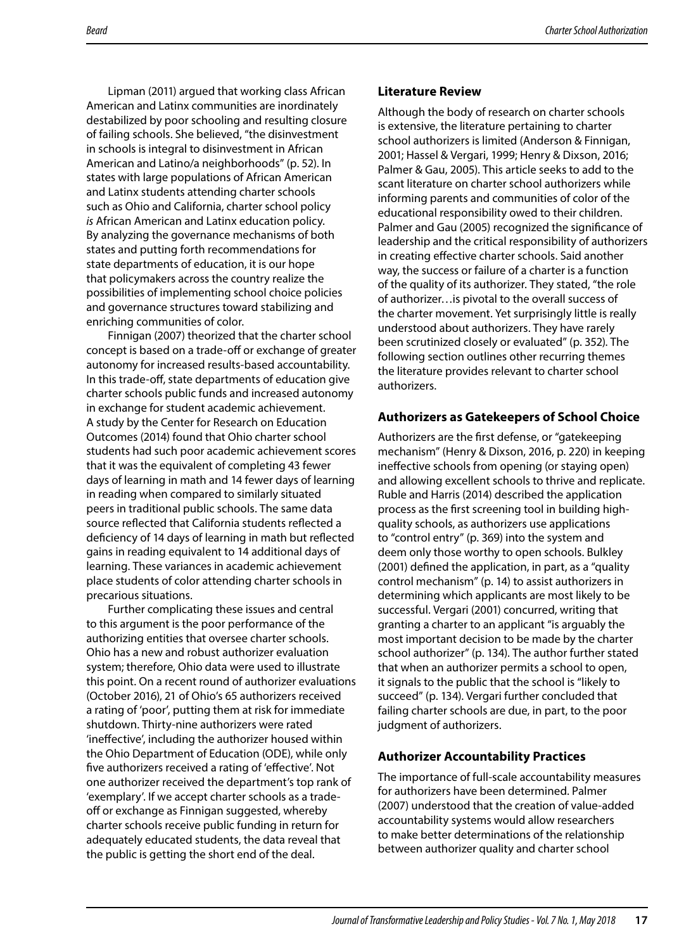Lipman (2011) argued that working class African American and Latinx communities are inordinately destabilized by poor schooling and resulting closure of failing schools. She believed, "the disinvestment in schools is integral to disinvestment in African American and Latino/a neighborhoods" (p. 52). In states with large populations of African American and Latinx students attending charter schools such as Ohio and California, charter school policy *is* African American and Latinx education policy. By analyzing the governance mechanisms of both states and putting forth recommendations for state departments of education, it is our hope that policymakers across the country realize the possibilities of implementing school choice policies and governance structures toward stabilizing and enriching communities of color.

Finnigan (2007) theorized that the charter school concept is based on a trade-off or exchange of greater autonomy for increased results-based accountability. In this trade-off, state departments of education give charter schools public funds and increased autonomy in exchange for student academic achievement. A study by the Center for Research on Education Outcomes (2014) found that Ohio charter school students had such poor academic achievement scores that it was the equivalent of completing 43 fewer days of learning in math and 14 fewer days of learning in reading when compared to similarly situated peers in traditional public schools. The same data source refected that California students refected a defciency of 14 days of learning in math but refected gains in reading equivalent to 14 additional days of learning. These variances in academic achievement place students of color attending charter schools in precarious situations.

Further complicating these issues and central to this argument is the poor performance of the authorizing entities that oversee charter schools. Ohio has a new and robust authorizer evaluation system; therefore, Ohio data were used to illustrate this point. On a recent round of authorizer evaluations (October 2016), 21 of Ohio's 65 authorizers received a rating of 'poor', putting them at risk for immediate shutdown. Thirty-nine authorizers were rated 'inefective', including the authorizer housed within the Ohio Department of Education (ODE), while only fve authorizers received a rating of 'efective'. Not one authorizer received the department's top rank of 'exemplary'. If we accept charter schools as a tradeoff or exchange as Finnigan suggested, whereby charter schools receive public funding in return for adequately educated students, the data reveal that the public is getting the short end of the deal.

#### **Literature Review**

Although the body of research on charter schools is extensive, the literature pertaining to charter school authorizers is limited (Anderson & Finnigan, 2001; Hassel & Vergari, 1999; Henry & Dixson, 2016; Palmer & Gau, 2005). This article seeks to add to the scant literature on charter school authorizers while informing parents and communities of color of the educational responsibility owed to their children. Palmer and Gau (2005) recognized the signifcance of leadership and the critical responsibility of authorizers in creating efective charter schools. Said another way, the success or failure of a charter is a function of the quality of its authorizer. They stated, "the role of authorizer…is pivotal to the overall success of the charter movement. Yet surprisingly little is really understood about authorizers. They have rarely been scrutinized closely or evaluated" (p. 352). The following section outlines other recurring themes the literature provides relevant to charter school authorizers.

#### **Authorizers as Gatekeepers of School Choice**

Authorizers are the frst defense, or "gatekeeping mechanism" (Henry & Dixson, 2016, p. 220) in keeping inefective schools from opening (or staying open) and allowing excellent schools to thrive and replicate. Ruble and Harris (2014) described the application process as the frst screening tool in building highquality schools, as authorizers use applications to "control entry" (p. 369) into the system and deem only those worthy to open schools. Bulkley (2001) defned the application, in part, as a "quality control mechanism" (p. 14) to assist authorizers in determining which applicants are most likely to be successful. Vergari (2001) concurred, writing that granting a charter to an applicant "is arguably the most important decision to be made by the charter school authorizer" (p. 134). The author further stated that when an authorizer permits a school to open, it signals to the public that the school is "likely to succeed" (p. 134). Vergari further concluded that failing charter schools are due, in part, to the poor judgment of authorizers.

### **Authorizer Accountability Practices**

The importance of full-scale accountability measures for authorizers have been determined. Palmer (2007) understood that the creation of value-added accountability systems would allow researchers to make better determinations of the relationship between authorizer quality and charter school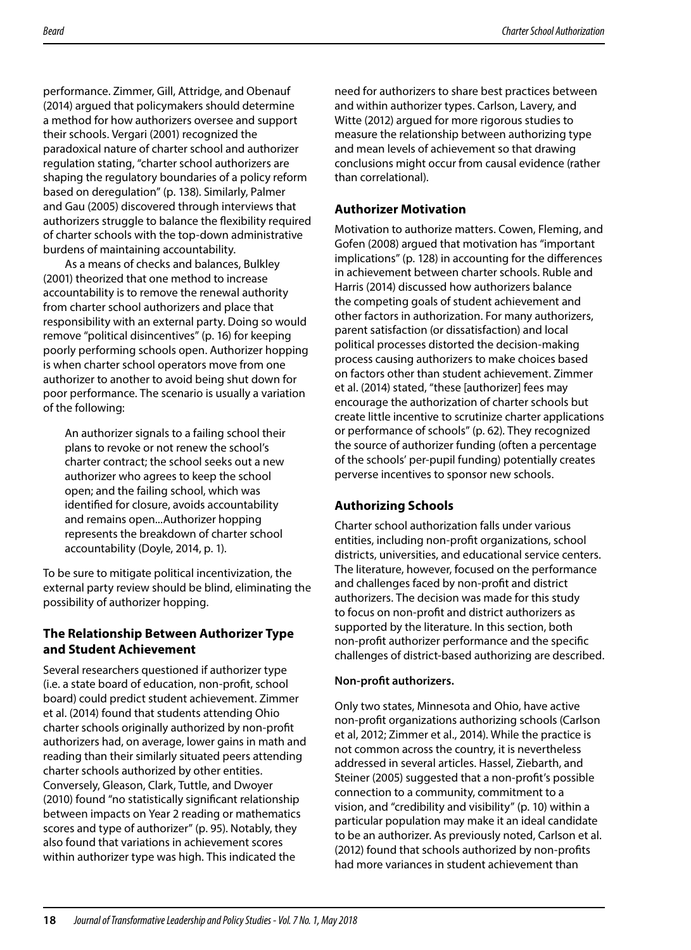performance. Zimmer, Gill, Attridge, and Obenauf (2014) argued that policymakers should determine a method for how authorizers oversee and support their schools. Vergari (2001) recognized the paradoxical nature of charter school and authorizer regulation stating, "charter school authorizers are shaping the regulatory boundaries of a policy reform based on deregulation" (p. 138). Similarly, Palmer and Gau (2005) discovered through interviews that authorizers struggle to balance the fexibility required of charter schools with the top-down administrative burdens of maintaining accountability.

As a means of checks and balances, Bulkley (2001) theorized that one method to increase accountability is to remove the renewal authority from charter school authorizers and place that responsibility with an external party. Doing so would remove "political disincentives" (p. 16) for keeping poorly performing schools open. Authorizer hopping is when charter school operators move from one authorizer to another to avoid being shut down for poor performance. The scenario is usually a variation of the following:

An authorizer signals to a failing school their plans to revoke or not renew the school's charter contract; the school seeks out a new authorizer who agrees to keep the school open; and the failing school, which was identifed for closure, avoids accountability and remains open...Authorizer hopping represents the breakdown of charter school accountability (Doyle, 2014, p. 1).

To be sure to mitigate political incentivization, the external party review should be blind, eliminating the possibility of authorizer hopping.

## **The Relationship Between Authorizer Type and Student Achievement**

Several researchers questioned if authorizer type (i.e. a state board of education, non-proft, school board) could predict student achievement. Zimmer et al. (2014) found that students attending Ohio charter schools originally authorized by non-proft authorizers had, on average, lower gains in math and reading than their similarly situated peers attending charter schools authorized by other entities. Conversely, Gleason, Clark, Tuttle, and Dwoyer (2010) found "no statistically signifcant relationship between impacts on Year 2 reading or mathematics scores and type of authorizer" (p. 95). Notably, they also found that variations in achievement scores within authorizer type was high. This indicated the

need for authorizers to share best practices between and within authorizer types. Carlson, Lavery, and Witte (2012) argued for more rigorous studies to measure the relationship between authorizing type and mean levels of achievement so that drawing conclusions might occur from causal evidence (rather than correlational).

## **Authorizer Motivation**

Motivation to authorize matters. Cowen, Fleming, and Gofen (2008) argued that motivation has "important implications" (p. 128) in accounting for the diferences in achievement between charter schools. Ruble and Harris (2014) discussed how authorizers balance the competing goals of student achievement and other factors in authorization. For many authorizers, parent satisfaction (or dissatisfaction) and local political processes distorted the decision-making process causing authorizers to make choices based on factors other than student achievement. Zimmer et al. (2014) stated, "these [authorizer] fees may encourage the authorization of charter schools but create little incentive to scrutinize charter applications or performance of schools" (p. 62). They recognized the source of authorizer funding (often a percentage of the schools' per-pupil funding) potentially creates perverse incentives to sponsor new schools.

## **Authorizing Schools**

Charter school authorization falls under various entities, including non-proft organizations, school districts, universities, and educational service centers. The literature, however, focused on the performance and challenges faced by non-proft and district authorizers. The decision was made for this study to focus on non-proft and district authorizers as supported by the literature. In this section, both non-proft authorizer performance and the specifc challenges of district-based authorizing are described.

### **Non-proft authorizers.**

Only two states, Minnesota and Ohio, have active non-proft organizations authorizing schools (Carlson et al, 2012; Zimmer et al., 2014). While the practice is not common across the country, it is nevertheless addressed in several articles. Hassel, Ziebarth, and Steiner (2005) suggested that a non-proft's possible connection to a community, commitment to a vision, and "credibility and visibility" (p. 10) within a particular population may make it an ideal candidate to be an authorizer. As previously noted, Carlson et al. (2012) found that schools authorized by non-profts had more variances in student achievement than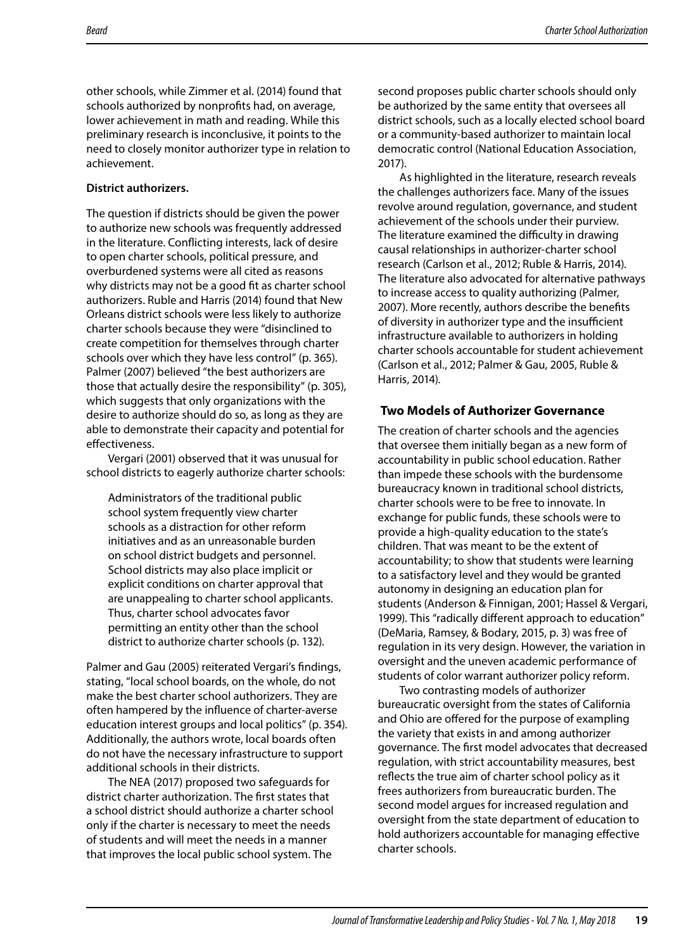other schools, while Zimmer et al. (2014) found that schools authorized by nonprofts had, on average, lower achievement in math and reading. While this preliminary research is inconclusive, it points to the need to closely monitor authorizer type in relation to achievement.

#### **District authorizers.**

The question if districts should be given the power to authorize new schools was frequently addressed in the literature. Conficting interests, lack of desire to open charter schools, political pressure, and overburdened systems were all cited as reasons why districts may not be a good fit as charter school authorizers. Ruble and Harris (2014) found that New Orleans district schools were less likely to authorize charter schools because they were "disinclined to create competition for themselves through charter schools over which they have less control" (p. 365). Palmer (2007) believed "the best authorizers are those that actually desire the responsibility" (p. 305), which suggests that only organizations with the desire to authorize should do so, as long as they are able to demonstrate their capacity and potential for effectiveness.

Vergari (2001) observed that it was unusual for school districts to eagerly authorize charter schools:

Administrators of the traditional public school system frequently view charter schools as a distraction for other reform initiatives and as an unreasonable burden on school district budgets and personnel. School districts may also place implicit or explicit conditions on charter approval that are unappealing to charter school applicants. Thus, charter school advocates favor permitting an entity other than the school district to authorize charter schools (p. 132).

Palmer and Gau (2005) reiterated Vergari's fndings, stating, "local school boards, on the whole, do not make the best charter school authorizers. They are often hampered by the infuence of charter-averse education interest groups and local politics" (p. 354). Additionally, the authors wrote, local boards often do not have the necessary infrastructure to support additional schools in their districts.

The NEA (2017) proposed two safeguards for district charter authorization. The frst states that a school district should authorize a charter school only if the charter is necessary to meet the needs of students and will meet the needs in a manner that improves the local public school system. The

second proposes public charter schools should only be authorized by the same entity that oversees all district schools, such as a locally elected school board or a community-based authorizer to maintain local democratic control (National Education Association, 2017).

As highlighted in the literature, research reveals the challenges authorizers face. Many of the issues revolve around regulation, governance, and student achievement of the schools under their purview. The literature examined the difficulty in drawing causal relationships in authorizer-charter school research (Carlson et al., 2012; Ruble & Harris, 2014). The literature also advocated for alternative pathways to increase access to quality authorizing (Palmer, 2007). More recently, authors describe the benefts of diversity in authorizer type and the insufficient infrastructure available to authorizers in holding charter schools accountable for student achievement (Carlson et al., 2012; Palmer & Gau, 2005, Ruble & Harris, 2014).

### **Two Models of Authorizer Governance**

The creation of charter schools and the agencies that oversee them initially began as a new form of accountability in public school education. Rather than impede these schools with the burdensome bureaucracy known in traditional school districts, charter schools were to be free to innovate. In exchange for public funds, these schools were to provide a high-quality education to the state's children. That was meant to be the extent of accountability; to show that students were learning to a satisfactory level and they would be granted autonomy in designing an education plan for students (Anderson & Finnigan, 2001; Hassel & Vergari, 1999). This "radically diferent approach to education" (DeMaria, Ramsey, & Bodary, 2015, p. 3) was free of regulation in its very design. However, the variation in oversight and the uneven academic performance of students of color warrant authorizer policy reform.

Two contrasting models of authorizer bureaucratic oversight from the states of California and Ohio are offered for the purpose of exampling the variety that exists in and among authorizer governance. The frst model advocates that decreased regulation, with strict accountability measures, best refects the true aim of charter school policy as it frees authorizers from bureaucratic burden. The second model argues for increased regulation and oversight from the state department of education to hold authorizers accountable for managing efective charter schools.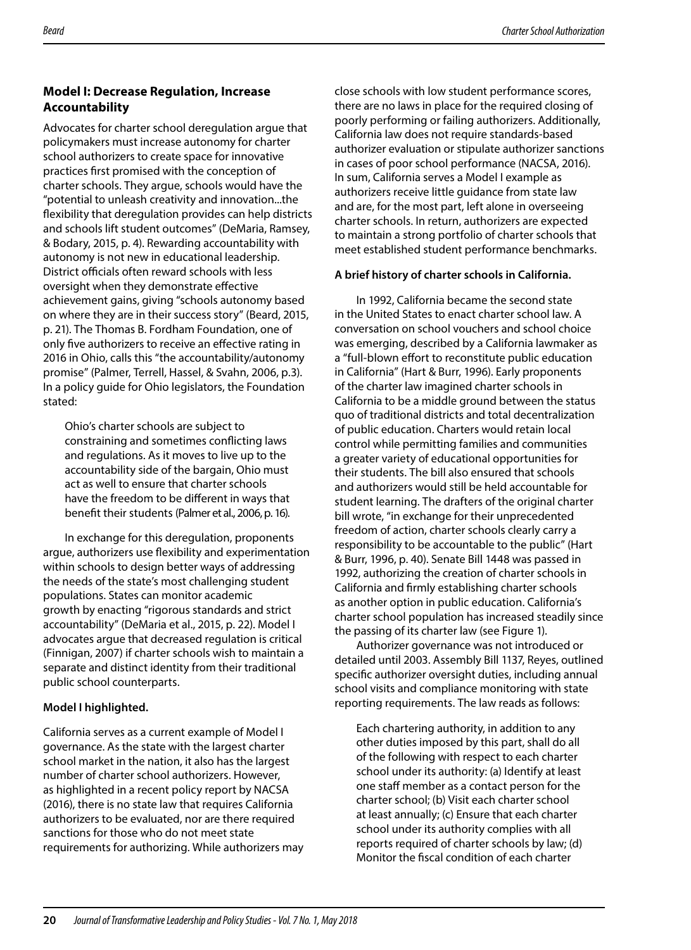## **Model I: Decrease Regulation, Increase Accountability**

Advocates for charter school deregulation argue that policymakers must increase autonomy for charter school authorizers to create space for innovative practices frst promised with the conception of charter schools. They argue, schools would have the "potential to unleash creativity and innovation...the fexibility that deregulation provides can help districts and schools lift student outcomes" (DeMaria, Ramsey, & Bodary, 2015, p. 4). Rewarding accountability with autonomy is not new in educational leadership. District officials often reward schools with less oversight when they demonstrate efective achievement gains, giving "schools autonomy based on where they are in their success story" (Beard, 2015, p. 21). The Thomas B. Fordham Foundation, one of only fve authorizers to receive an efective rating in 2016 in Ohio, calls this "the accountability/autonomy promise" (Palmer, Terrell, Hassel, & Svahn, 2006, p.3). In a policy guide for Ohio legislators, the Foundation stated:

Ohio's charter schools are subject to constraining and sometimes conficting laws and regulations. As it moves to live up to the accountability side of the bargain, Ohio must act as well to ensure that charter schools have the freedom to be diferent in ways that beneft their students (Palmer et al., 2006, p. 16).

In exchange for this deregulation, proponents argue, authorizers use fexibility and experimentation within schools to design better ways of addressing the needs of the state's most challenging student populations. States can monitor academic growth by enacting "rigorous standards and strict accountability" (DeMaria et al., 2015, p. 22). Model I advocates argue that decreased regulation is critical (Finnigan, 2007) if charter schools wish to maintain a separate and distinct identity from their traditional public school counterparts.

## **Model I highlighted.**

California serves as a current example of Model I governance. As the state with the largest charter school market in the nation, it also has the largest number of charter school authorizers. However, as highlighted in a recent policy report by NACSA (2016), there is no state law that requires California authorizers to be evaluated, nor are there required sanctions for those who do not meet state requirements for authorizing. While authorizers may close schools with low student performance scores, there are no laws in place for the required closing of poorly performing or failing authorizers. Additionally, California law does not require standards-based authorizer evaluation or stipulate authorizer sanctions in cases of poor school performance (NACSA, 2016). In sum, California serves a Model I example as authorizers receive little guidance from state law and are, for the most part, left alone in overseeing charter schools. In return, authorizers are expected to maintain a strong portfolio of charter schools that meet established student performance benchmarks.

## **A brief history of charter schools in California.**

In 1992, California became the second state in the United States to enact charter school law. A conversation on school vouchers and school choice was emerging, described by a California lawmaker as a "full-blown effort to reconstitute public education in California" (Hart & Burr, 1996). Early proponents of the charter law imagined charter schools in California to be a middle ground between the status quo of traditional districts and total decentralization of public education. Charters would retain local control while permitting families and communities a greater variety of educational opportunities for their students. The bill also ensured that schools and authorizers would still be held accountable for student learning. The drafters of the original charter bill wrote, "in exchange for their unprecedented freedom of action, charter schools clearly carry a responsibility to be accountable to the public" (Hart & Burr, 1996, p. 40). Senate Bill 1448 was passed in 1992, authorizing the creation of charter schools in California and frmly establishing charter schools as another option in public education. California's charter school population has increased steadily since the passing of its charter law (see Figure 1).

Authorizer governance was not introduced or detailed until 2003. Assembly Bill 1137, Reyes, outlined specifc authorizer oversight duties, including annual school visits and compliance monitoring with state reporting requirements. The law reads as follows:

Each chartering authority, in addition to any other duties imposed by this part, shall do all of the following with respect to each charter school under its authority: (a) Identify at least one staff member as a contact person for the charter school; (b) Visit each charter school at least annually; (c) Ensure that each charter school under its authority complies with all reports required of charter schools by law; (d) Monitor the fscal condition of each charter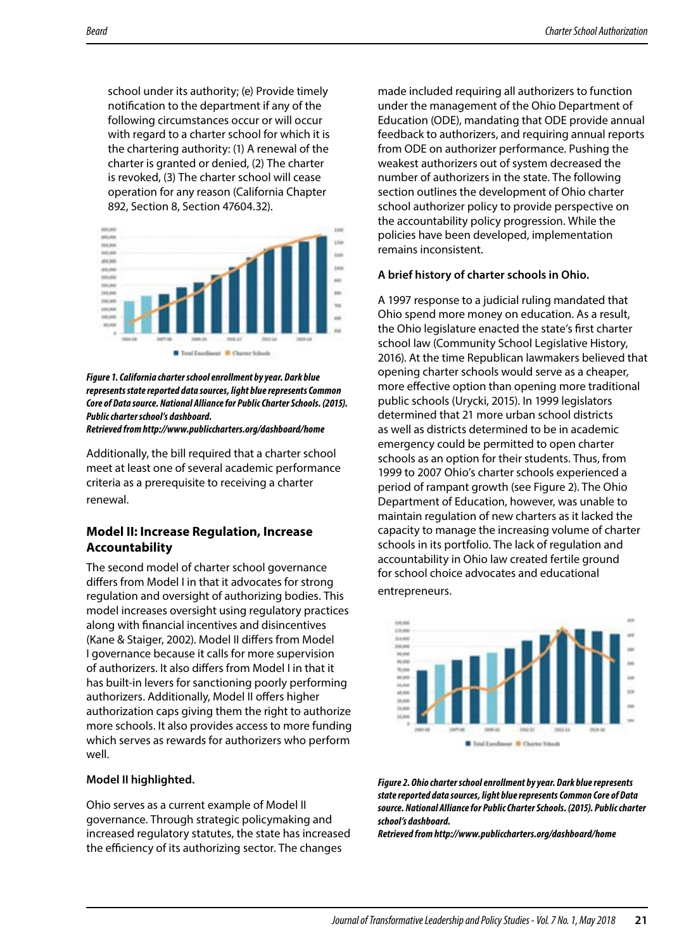school under its authority; (e) Provide timely notifcation to the department if any of the following circumstances occur or will occur with regard to a charter school for which it is the chartering authority: (1) A renewal of the charter is granted or denied, (2) The charter is revoked, (3) The charter school will cease operation for any reason (California Chapter 892, Section 8, Section 47604.32).



*Figure 1. California charter school enrollment by year. Dark blue represents state reported data sources, light blue represents Common Core of Data source. National Alliance for Public Charter Schools. (2015). Public charter school's dashboard. Retrieved from http://www.publiccharters.org/dashboard/home* 

Additionally, the bill required that a charter school meet at least one of several academic performance criteria as a prerequisite to receiving a charter renewal.

#### **Model II: Increase Regulation, Increase Accountability**

The second model of charter school governance difers from Model I in that it advocates for strong regulation and oversight of authorizing bodies. This model increases oversight using regulatory practices along with fnancial incentives and disincentives (Kane & Staiger, 2002). Model II difers from Model I governance because it calls for more supervision of authorizers. It also difers from Model I in that it has built-in levers for sanctioning poorly performing authorizers. Additionally, Model II offers higher authorization caps giving them the right to authorize more schools. It also provides access to more funding which serves as rewards for authorizers who perform well.

#### **Model II highlighted.**

Ohio serves as a current example of Model II governance. Through strategic policymaking and increased regulatory statutes, the state has increased the efficiency of its authorizing sector. The changes

made included requiring all authorizers to function under the management of the Ohio Department of Education (ODE), mandating that ODE provide annual feedback to authorizers, and requiring annual reports from ODE on authorizer performance. Pushing the weakest authorizers out of system decreased the number of authorizers in the state. The following section outlines the development of Ohio charter school authorizer policy to provide perspective on the accountability policy progression. While the policies have been developed, implementation remains inconsistent.

#### **A brief history of charter schools in Ohio.**

A 1997 response to a judicial ruling mandated that Ohio spend more money on education. As a result, the Ohio legislature enacted the state's frst charter school law (Community School Legislative History, 2016). At the time Republican lawmakers believed that opening charter schools would serve as a cheaper, more efective option than opening more traditional public schools (Urycki, 2015). In 1999 legislators determined that 21 more urban school districts as well as districts determined to be in academic emergency could be permitted to open charter schools as an option for their students. Thus, from 1999 to 2007 Ohio's charter schools experienced a period of rampant growth (see Figure 2). The Ohio Department of Education, however, was unable to maintain regulation of new charters as it lacked the capacity to manage the increasing volume of charter schools in its portfolio. The lack of regulation and accountability in Ohio law created fertile ground for school choice advocates and educational entrepreneurs.



*Figure 2. Ohio charter school enrollment by year. Dark blue represents state reported data sources, light blue represents Common Core of Data source. National Alliance for Public Charter Schools. (2015). Public charter school's dashboard.* 

*Retrieved from http://www.publiccharters.org/dashboard/home*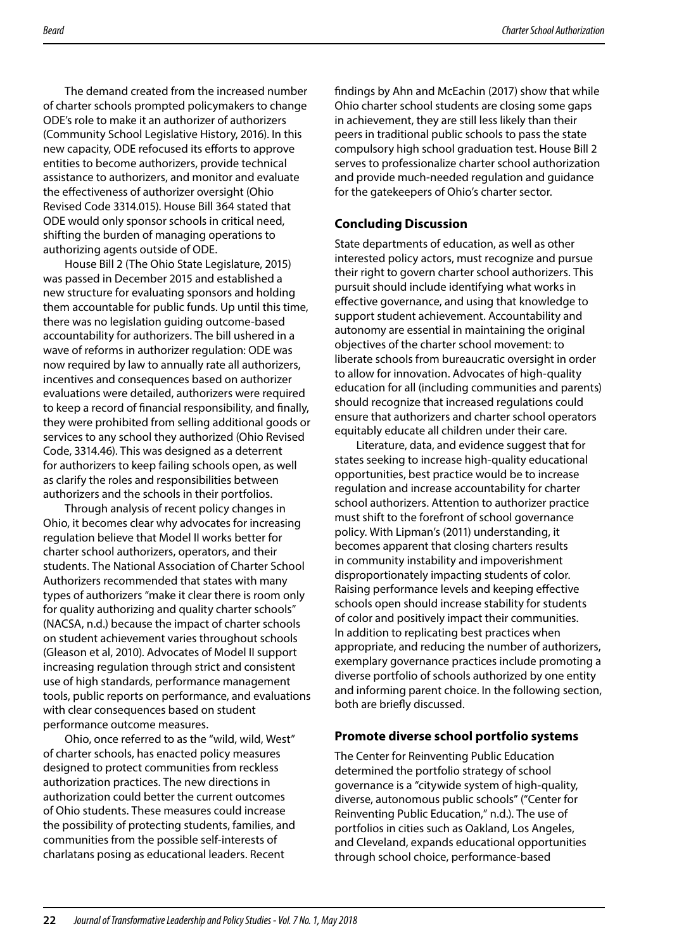The demand created from the increased number of charter schools prompted policymakers to change ODE's role to make it an authorizer of authorizers (Community School Legislative History, 2016). In this new capacity, ODE refocused its efforts to approve entities to become authorizers, provide technical assistance to authorizers, and monitor and evaluate the efectiveness of authorizer oversight (Ohio Revised Code 3314.015). House Bill 364 stated that ODE would only sponsor schools in critical need, shifting the burden of managing operations to authorizing agents outside of ODE.

House Bill 2 (The Ohio State Legislature, 2015) was passed in December 2015 and established a new structure for evaluating sponsors and holding them accountable for public funds. Up until this time, there was no legislation guiding outcome-based accountability for authorizers. The bill ushered in a wave of reforms in authorizer regulation: ODE was now required by law to annually rate all authorizers, incentives and consequences based on authorizer evaluations were detailed, authorizers were required to keep a record of fnancial responsibility, and fnally, they were prohibited from selling additional goods or services to any school they authorized (Ohio Revised Code, 3314.46). This was designed as a deterrent for authorizers to keep failing schools open, as well as clarify the roles and responsibilities between authorizers and the schools in their portfolios.

Through analysis of recent policy changes in Ohio, it becomes clear why advocates for increasing regulation believe that Model II works better for charter school authorizers, operators, and their students. The National Association of Charter School Authorizers recommended that states with many types of authorizers "make it clear there is room only for quality authorizing and quality charter schools" (NACSA, n.d.) because the impact of charter schools on student achievement varies throughout schools (Gleason et al, 2010). Advocates of Model II support increasing regulation through strict and consistent use of high standards, performance management tools, public reports on performance, and evaluations with clear consequences based on student performance outcome measures.

Ohio, once referred to as the "wild, wild, West" of charter schools, has enacted policy measures designed to protect communities from reckless authorization practices. The new directions in authorization could better the current outcomes of Ohio students. These measures could increase the possibility of protecting students, families, and communities from the possible self-interests of charlatans posing as educational leaders. Recent

fndings by Ahn and McEachin (2017) show that while Ohio charter school students are closing some gaps in achievement, they are still less likely than their peers in traditional public schools to pass the state compulsory high school graduation test. House Bill 2 serves to professionalize charter school authorization and provide much-needed regulation and guidance for the gatekeepers of Ohio's charter sector.

## **Concluding Discussion**

State departments of education, as well as other interested policy actors, must recognize and pursue their right to govern charter school authorizers. This pursuit should include identifying what works in efective governance, and using that knowledge to support student achievement. Accountability and autonomy are essential in maintaining the original objectives of the charter school movement: to liberate schools from bureaucratic oversight in order to allow for innovation. Advocates of high-quality education for all (including communities and parents) should recognize that increased regulations could ensure that authorizers and charter school operators equitably educate all children under their care.

Literature, data, and evidence suggest that for states seeking to increase high-quality educational opportunities, best practice would be to increase regulation and increase accountability for charter school authorizers. Attention to authorizer practice must shift to the forefront of school governance policy. With Lipman's (2011) understanding, it becomes apparent that closing charters results in community instability and impoverishment disproportionately impacting students of color. Raising performance levels and keeping efective schools open should increase stability for students of color and positively impact their communities. In addition to replicating best practices when appropriate, and reducing the number of authorizers, exemplary governance practices include promoting a diverse portfolio of schools authorized by one entity and informing parent choice. In the following section, both are briefy discussed.

### **Promote diverse school portfolio systems**

The Center for Reinventing Public Education determined the portfolio strategy of school governance is a "citywide system of high-quality, diverse, autonomous public schools" ("Center for Reinventing Public Education," n.d.). The use of portfolios in cities such as Oakland, Los Angeles, and Cleveland, expands educational opportunities through school choice, performance-based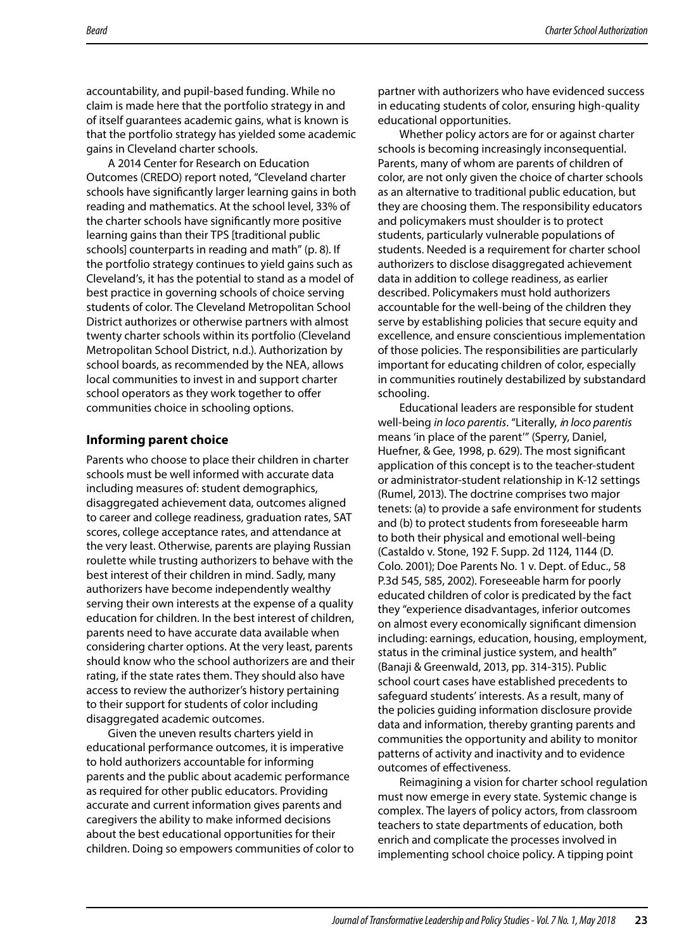accountability, and pupil-based funding. While no claim is made here that the portfolio strategy in and of itself guarantees academic gains, what is known is that the portfolio strategy has yielded some academic gains in Cleveland charter schools.

A 2014 Center for Research on Education Outcomes (CREDO) report noted, "Cleveland charter schools have signifcantly larger learning gains in both reading and mathematics. At the school level, 33% of the charter schools have signifcantly more positive learning gains than their TPS [traditional public schools] counterparts in reading and math" (p. 8). If the portfolio strategy continues to yield gains such as Cleveland's, it has the potential to stand as a model of best practice in governing schools of choice serving students of color. The Cleveland Metropolitan School District authorizes or otherwise partners with almost twenty charter schools within its portfolio (Cleveland Metropolitan School District, n.d.). Authorization by school boards, as recommended by the NEA, allows local communities to invest in and support charter school operators as they work together to offer communities choice in schooling options.

#### **Informing parent choice**

Parents who choose to place their children in charter schools must be well informed with accurate data including measures of: student demographics, disaggregated achievement data, outcomes aligned to career and college readiness, graduation rates, SAT scores, college acceptance rates, and attendance at the very least. Otherwise, parents are playing Russian roulette while trusting authorizers to behave with the best interest of their children in mind. Sadly, many authorizers have become independently wealthy serving their own interests at the expense of a quality education for children. In the best interest of children, parents need to have accurate data available when considering charter options. At the very least, parents should know who the school authorizers are and their rating, if the state rates them. They should also have access to review the authorizer's history pertaining to their support for students of color including disaggregated academic outcomes.

Given the uneven results charters yield in educational performance outcomes, it is imperative to hold authorizers accountable for informing parents and the public about academic performance as required for other public educators. Providing accurate and current information gives parents and caregivers the ability to make informed decisions about the best educational opportunities for their children. Doing so empowers communities of color to partner with authorizers who have evidenced success in educating students of color, ensuring high-quality educational opportunities.

Whether policy actors are for or against charter schools is becoming increasingly inconsequential. Parents, many of whom are parents of children of color, are not only given the choice of charter schools as an alternative to traditional public education, but they are choosing them. The responsibility educators and policymakers must shoulder is to protect students, particularly vulnerable populations of students. Needed is a requirement for charter school authorizers to disclose disaggregated achievement data in addition to college readiness, as earlier described. Policymakers must hold authorizers accountable for the well-being of the children they serve by establishing policies that secure equity and excellence, and ensure conscientious implementation of those policies. The responsibilities are particularly important for educating children of color, especially in communities routinely destabilized by substandard schooling.

Educational leaders are responsible for student well-being *in loco parentis*. "Literally, i*n loco parentis*  means 'in place of the parent'" (Sperry, Daniel, Huefner, & Gee, 1998, p. 629). The most signifcant application of this concept is to the teacher-student or administrator-student relationship in K-12 settings (Rumel, 2013). The doctrine comprises two major tenets: (a) to provide a safe environment for students and (b) to protect students from foreseeable harm to both their physical and emotional well-being (Castaldo v. Stone, 192 F. Supp. 2d 1124, 1144 (D. Colo. 2001); Doe Parents No. 1 v. Dept. of Educ., 58 P.3d 545, 585, 2002). Foreseeable harm for poorly educated children of color is predicated by the fact they "experience disadvantages, inferior outcomes on almost every economically signifcant dimension including: earnings, education, housing, employment, status in the criminal justice system, and health" (Banaji & Greenwald, 2013, pp. 314-315). Public school court cases have established precedents to safeguard students' interests. As a result, many of the policies guiding information disclosure provide data and information, thereby granting parents and communities the opportunity and ability to monitor patterns of activity and inactivity and to evidence outcomes of efectiveness.

Reimagining a vision for charter school regulation must now emerge in every state. Systemic change is complex. The layers of policy actors, from classroom teachers to state departments of education, both enrich and complicate the processes involved in implementing school choice policy. A tipping point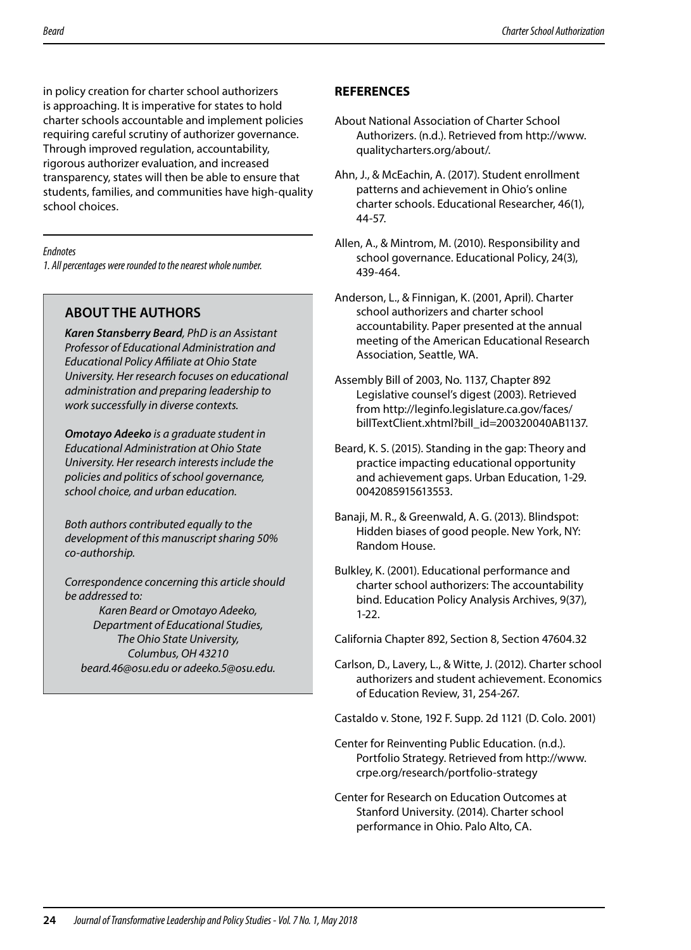in policy creation for charter school authorizers is approaching. It is imperative for states to hold charter schools accountable and implement policies requiring careful scrutiny of authorizer governance. Through improved regulation, accountability, rigorous authorizer evaluation, and increased transparency, states will then be able to ensure that students, families, and communities have high-quality school choices.

#### *Endnotes*

*1. All percentages were rounded to the nearest whole number.* 

# **ABOUT THE AUTHORS**

*Karen Stansberry Beard, PhD is an Assistant Professor of Educational Administration and Educational Policy Afliate at Ohio State University. Her research focuses on educational administration and preparing leadership to work successfully in diverse contexts.* 

*Omotayo Adeeko is a graduate student in Educational Administration at Ohio State University. Her research interests include the policies and politics of school governance, school choice, and urban education.* 

*Both authors contributed equally to the development of this manuscript sharing 50% co-authorship.* 

*Correspondence concerning this article should be addressed to:* 

*Karen Beard or Omotayo Adeeko, Department of Educational Studies, The Ohio State University, Columbus, OH 43210 beard.46@osu.edu or adeeko.5@osu.edu.* 

## **REFERENCES**

- About National Association of Charter School Authorizers. (n.d.). Retrieved from http://www. qualitycharters.org/about/.
- Ahn, J., & McEachin, A. (2017). Student enrollment patterns and achievement in Ohio's online charter schools. Educational Researcher, 46(1), 44-57.
- Allen, A., & Mintrom, M. (2010). Responsibility and school governance. Educational Policy, 24(3), 439-464.
- Anderson, L., & Finnigan, K. (2001, April). Charter school authorizers and charter school accountability. Paper presented at the annual meeting of the American Educational Research Association, Seattle, WA.
- Assembly Bill of 2003, No. 1137, Chapter 892 Legislative counsel's digest (2003). Retrieved from http://leginfo.legislature.ca.gov/faces/ billTextClient.xhtml?bill\_id=200320040AB1137.
- Beard, K. S. (2015). Standing in the gap: Theory and practice impacting educational opportunity and achievement gaps. Urban Education, 1-29. 0042085915613553.
- Banaji, M. R., & Greenwald, A. G. (2013). Blindspot: Hidden biases of good people. New York, NY: Random House.
- Bulkley, K. (2001). Educational performance and charter school authorizers: The accountability bind. Education Policy Analysis Archives, 9(37), 1-22.

California Chapter 892, Section 8, Section 47604.32

- Carlson, D., Lavery, L., & Witte, J. (2012). Charter school authorizers and student achievement. Economics of Education Review, 31, 254-267.
- Castaldo v. Stone, 192 F. Supp. 2d 1121 (D. Colo. 2001)
- Center for Reinventing Public Education. (n.d.). Portfolio Strategy. Retrieved from http://www. crpe.org/research/portfolio-strategy
- Center for Research on Education Outcomes at Stanford University. (2014). Charter school performance in Ohio. Palo Alto, CA.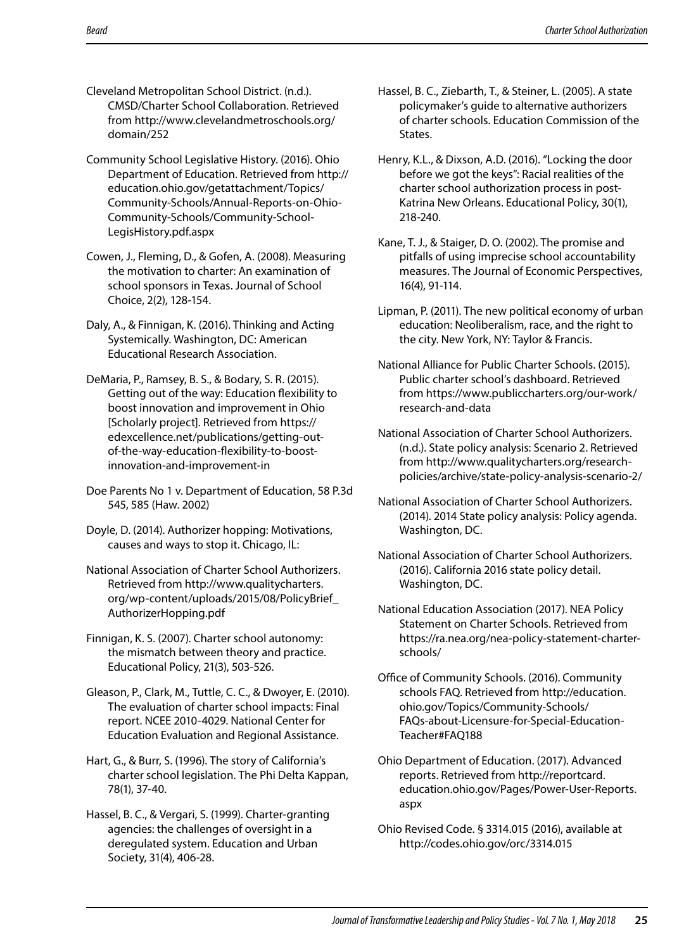- Cleveland Metropolitan School District. (n.d.). CMSD/Charter School Collaboration. Retrieved from http://www.clevelandmetroschools.org/ domain/252
- Community School Legislative History. (2016). Ohio Department of Education. Retrieved from http:// education.ohio.gov/getattachment/Topics/ Community-Schools/Annual-Reports-on-Ohio-Community-Schools/Community-School-LegisHistory.pdf.aspx
- Cowen, J., Fleming, D., & Gofen, A. (2008). Measuring the motivation to charter: An examination of school sponsors in Texas. Journal of School Choice, 2(2), 128-154.
- Daly, A., & Finnigan, K. (2016). Thinking and Acting Systemically. Washington, DC: American Educational Research Association.
- DeMaria, P., Ramsey, B. S., & Bodary, S. R. (2015). Getting out of the way: Education fexibility to boost innovation and improvement in Ohio [Scholarly project]. Retrieved from https:// edexcellence.net/publications/getting-outof-the-way-education-fexibility-to-boostinnovation-and-improvement-in
- Doe Parents No 1 v. Department of Education, 58 P.3d 545, 585 (Haw. 2002)
- Doyle, D. (2014). Authorizer hopping: Motivations, causes and ways to stop it. Chicago, IL:
- National Association of Charter School Authorizers. Retrieved from http://www.qualitycharters. org/wp-content/uploads/2015/08/PolicyBrief\_ AuthorizerHopping.pdf
- Finnigan, K. S. (2007). Charter school autonomy: the mismatch between theory and practice. Educational Policy, 21(3), 503-526.
- Gleason, P., Clark, M., Tuttle, C. C., & Dwoyer, E. (2010). The evaluation of charter school impacts: Final report. NCEE 2010-4029. National Center for Education Evaluation and Regional Assistance.
- Hart, G., & Burr, S. (1996). The story of California's charter school legislation. The Phi Delta Kappan, 78(1), 37-40.
- Hassel, B. C., & Vergari, S. (1999). Charter-granting agencies: the challenges of oversight in a deregulated system. Education and Urban Society, 31(4), 406-28.
- Hassel, B. C., Ziebarth, T., & Steiner, L. (2005). A state policymaker's guide to alternative authorizers of charter schools. Education Commission of the States.
- Henry, K.L., & Dixson, A.D. (2016). "Locking the door before we got the keys": Racial realities of the charter school authorization process in post-Katrina New Orleans. Educational Policy, 30(1), 218-240.
- Kane, T. J., & Staiger, D. O. (2002). The promise and pitfalls of using imprecise school accountability measures. The Journal of Economic Perspectives, 16(4), 91-114.
- Lipman, P. (2011). The new political economy of urban education: Neoliberalism, race, and the right to the city. New York, NY: Taylor & Francis.
- National Alliance for Public Charter Schools. (2015). Public charter school's dashboard. Retrieved from https://www.publiccharters.org/our-work/ research-and-data
- National Association of Charter School Authorizers. (n.d.). State policy analysis: Scenario 2. Retrieved from http://www.qualitycharters.org/researchpolicies/archive/state-policy-analysis-scenario-2/
- National Association of Charter School Authorizers. (2014). 2014 State policy analysis: Policy agenda. Washington, DC.
- National Association of Charter School Authorizers. (2016). California 2016 state policy detail. Washington, DC.
- National Education Association (2017). NEA Policy Statement on Charter Schools. Retrieved from https://ra.nea.org/nea-policy-statement-charterschools/
- Office of Community Schools. (2016). Community schools FAQ. Retrieved from http://education. ohio.gov/Topics/Community-Schools/ FAQs-about-Licensure-for-Special-Education-Teacher#FAQ188
- Ohio Department of Education. (2017). Advanced reports. Retrieved from http://reportcard. education.ohio.gov/Pages/Power-User-Reports. aspx
- Ohio Revised Code. § 3314.015 (2016), available at http://codes.ohio.gov/orc/3314.015